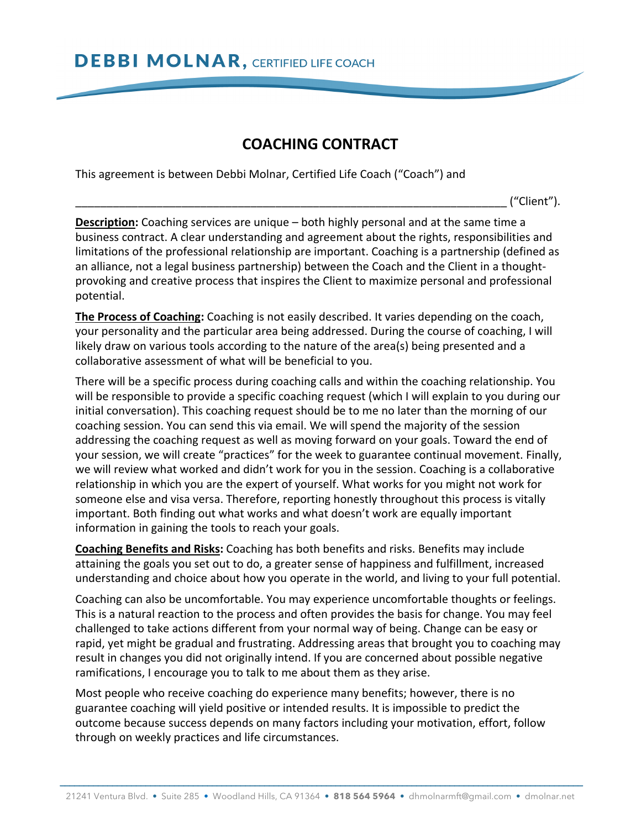## **COACHING CONTRACT**

This agreement is between Debbi Molnar, Certified Life Coach ("Coach") and

\_\_\_\_\_\_\_\_\_\_\_\_\_\_\_\_\_\_\_\_\_\_\_\_\_\_\_\_\_\_\_\_\_\_\_\_\_\_\_\_\_\_\_\_\_\_\_\_\_\_\_\_\_\_\_\_\_\_\_\_\_\_\_\_\_\_\_\_\_ ("Client").

**Description:** Coaching services are unique – both highly personal and at the same time a business contract. A clear understanding and agreement about the rights, responsibilities and limitations of the professional relationship are important. Coaching is a partnership (defined as an alliance, not a legal business partnership) between the Coach and the Client in a thoughtprovoking and creative process that inspires the Client to maximize personal and professional potential.

**The Process of Coaching:** Coaching is not easily described. It varies depending on the coach, your personality and the particular area being addressed. During the course of coaching, I will likely draw on various tools according to the nature of the area(s) being presented and a collaborative assessment of what will be beneficial to you.

There will be a specific process during coaching calls and within the coaching relationship. You will be responsible to provide a specific coaching request (which I will explain to you during our initial conversation). This coaching request should be to me no later than the morning of our coaching session. You can send this via email. We will spend the majority of the session addressing the coaching request as well as moving forward on your goals. Toward the end of your session, we will create "practices" for the week to guarantee continual movement. Finally, we will review what worked and didn't work for you in the session. Coaching is a collaborative relationship in which you are the expert of yourself. What works for you might not work for someone else and visa versa. Therefore, reporting honestly throughout this process is vitally important. Both finding out what works and what doesn't work are equally important information in gaining the tools to reach your goals.

**Coaching Benefits and Risks:** Coaching has both benefits and risks. Benefits may include attaining the goals you set out to do, a greater sense of happiness and fulfillment, increased understanding and choice about how you operate in the world, and living to your full potential.

Coaching can also be uncomfortable. You may experience uncomfortable thoughts or feelings. This is a natural reaction to the process and often provides the basis for change. You may feel challenged to take actions different from your normal way of being. Change can be easy or rapid, yet might be gradual and frustrating. Addressing areas that brought you to coaching may result in changes you did not originally intend. If you are concerned about possible negative ramifications, I encourage you to talk to me about them as they arise.

Most people who receive coaching do experience many benefits; however, there is no guarantee coaching will yield positive or intended results. It is impossible to predict the outcome because success depends on many factors including your motivation, effort, follow through on weekly practices and life circumstances.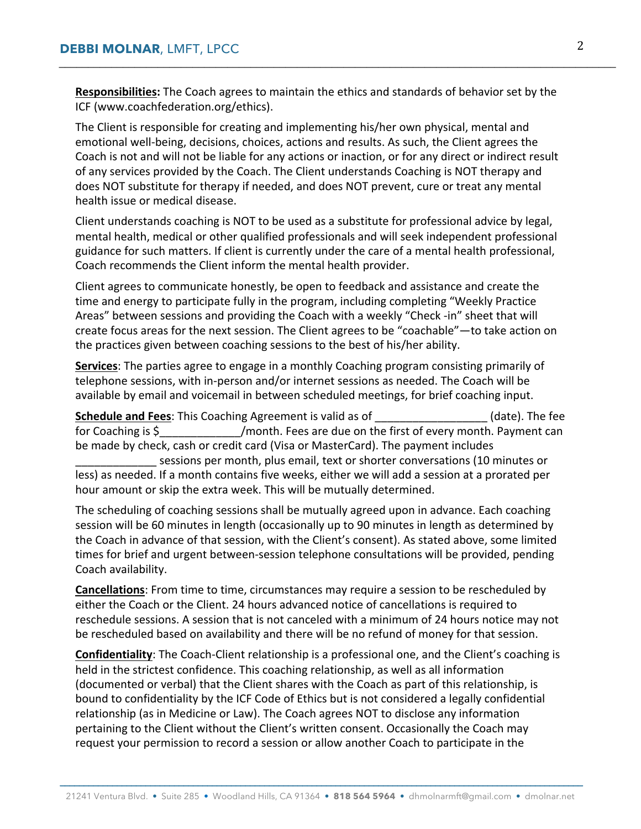**Responsibilities:** The Coach agrees to maintain the ethics and standards of behavior set by the ICF (www.coachfederation.org/ethics).

**\_\_\_\_\_\_\_\_\_\_\_\_\_\_\_\_\_\_\_\_\_\_\_\_\_\_\_\_\_\_\_\_\_\_\_\_\_\_\_\_\_\_\_\_\_\_\_\_\_\_\_\_\_\_\_\_\_\_\_\_\_\_\_\_\_\_\_\_\_\_\_\_\_\_\_\_\_\_\_\_\_\_\_\_\_\_\_\_\_\_\_\_\_\_\_\_**

The Client is responsible for creating and implementing his/her own physical, mental and emotional well-being, decisions, choices, actions and results. As such, the Client agrees the Coach is not and will not be liable for any actions or inaction, or for any direct or indirect result of any services provided by the Coach. The Client understands Coaching is NOT therapy and does NOT substitute for therapy if needed, and does NOT prevent, cure or treat any mental health issue or medical disease.

Client understands coaching is NOT to be used as a substitute for professional advice by legal, mental health, medical or other qualified professionals and will seek independent professional guidance for such matters. If client is currently under the care of a mental health professional, Coach recommends the Client inform the mental health provider.

Client agrees to communicate honestly, be open to feedback and assistance and create the time and energy to participate fully in the program, including completing "Weekly Practice Areas" between sessions and providing the Coach with a weekly "Check -in" sheet that will create focus areas for the next session. The Client agrees to be "coachable"—to take action on the practices given between coaching sessions to the best of his/her ability.

**Services**: The parties agree to engage in a monthly Coaching program consisting primarily of telephone sessions, with in-person and/or internet sessions as needed. The Coach will be available by email and voicemail in between scheduled meetings, for brief coaching input.

**Schedule and Fees**: This Coaching Agreement is valid as of \_\_\_\_\_\_\_\_\_\_\_\_\_\_\_\_\_\_ (date). The fee for Coaching is \$  $/$ month. Fees are due on the first of every month. Payment can be made by check, cash or credit card (Visa or MasterCard). The payment includes sessions per month, plus email, text or shorter conversations (10 minutes or less) as needed. If a month contains five weeks, either we will add a session at a prorated per hour amount or skip the extra week. This will be mutually determined.

The scheduling of coaching sessions shall be mutually agreed upon in advance. Each coaching session will be 60 minutes in length (occasionally up to 90 minutes in length as determined by the Coach in advance of that session, with the Client's consent). As stated above, some limited times for brief and urgent between-session telephone consultations will be provided, pending Coach availability.

**Cancellations**: From time to time, circumstances may require a session to be rescheduled by either the Coach or the Client. 24 hours advanced notice of cancellations is required to reschedule sessions. A session that is not canceled with a minimum of 24 hours notice may not be rescheduled based on availability and there will be no refund of money for that session.

**Confidentiality**: The Coach-Client relationship is a professional one, and the Client's coaching is held in the strictest confidence. This coaching relationship, as well as all information (documented or verbal) that the Client shares with the Coach as part of this relationship, is bound to confidentiality by the ICF Code of Ethics but is not considered a legally confidential relationship (as in Medicine or Law). The Coach agrees NOT to disclose any information pertaining to the Client without the Client's written consent. Occasionally the Coach may request your permission to record a session or allow another Coach to participate in the